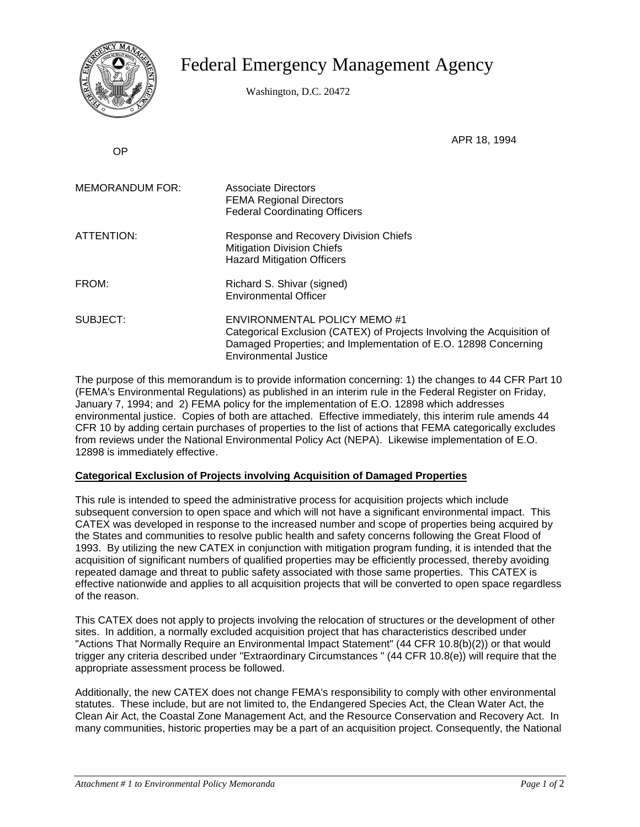

## Federal Emergency Management Agency

Washington, D.C. 20472

OP

APR 18, 1994

| <b>MEMORANDUM FOR:</b> | Associate Directors<br><b>FEMA Regional Directors</b><br><b>Federal Coordinating Officers</b>                                                                                                                    |
|------------------------|------------------------------------------------------------------------------------------------------------------------------------------------------------------------------------------------------------------|
| ATTENTION:             | Response and Recovery Division Chiefs<br><b>Mitigation Division Chiefs</b><br><b>Hazard Mitigation Officers</b>                                                                                                  |
| FROM:                  | Richard S. Shivar (signed)<br><b>Environmental Officer</b>                                                                                                                                                       |
| SUBJECT:               | <b>ENVIRONMENTAL POLICY MEMO #1</b><br>Categorical Exclusion (CATEX) of Projects Involving the Acquisition of<br>Damaged Properties; and Implementation of E.O. 12898 Concerning<br><b>Environmental Justice</b> |

The purpose of this memorandum is to provide information concerning: 1) the changes to 44 CFR Part 10 (FEMA's Environmental Regulations) as published in an interim rule in the Federal Register on Friday, January 7, 1994; and 2) FEMA policy for the implementation of E.O. 12898 which addresses environmental justice. Copies of both are attached. Effective immediately, this interim rule amends 44 CFR 10 by adding certain purchases of properties to the list of actions that FEMA categorically excludes from reviews under the National Environmental Policy Act (NEPA). Likewise implementation of E.O. 12898 is immediately effective.

## **Categorical Exclusion of Projects involving Acquisition of Damaged Properties**

This rule is intended to speed the administrative process for acquisition projects which include subsequent conversion to open space and which will not have a significant environmental impact. This CATEX was developed in response to the increased number and scope of properties being acquired by the States and communities to resolve public health and safety concerns following the Great Flood of 1993. By utilizing the new CATEX in conjunction with mitigation program funding, it is intended that the acquisition of significant numbers of qualified properties may be efficiently processed, thereby avoiding repeated damage and threat to public safety associated with those same properties. This CATEX is effective nationwide and applies to all acquisition projects that will be converted to open space regardless of the reason.

This CATEX does not apply to projects involving the relocation of structures or the development of other sites. In addition, a normally excluded acquisition project that has characteristics described under "Actions That Normally Require an Environmental Impact Statement" (44 CFR 10.8(b)(2)) or that would trigger any criteria described under "Extraordinary Circumstances " (44 CFR 10.8(e)) will require that the appropriate assessment process be followed.

Additionally, the new CATEX does not change FEMA's responsibility to comply with other environmental statutes. These include, but are not limited to, the Endangered Species Act, the Clean Water Act, the Clean Air Act, the Coastal Zone Management Act, and the Resource Conservation and Recovery Act. In many communities, historic properties may be a part of an acquisition project. Consequently, the National